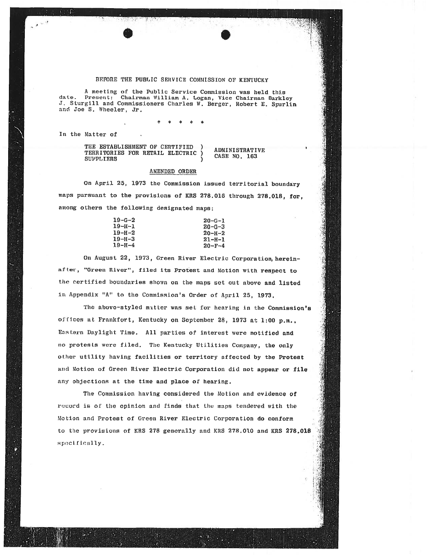## BEFORE THE PUBLIC SERVICE COMMISSION OF KENTUCKY

A meeting of the Public Service Commission was held this date. Present: Chairman William A. Logan, Vice Chairman Barkley<br>J. Sturgill and Commissioners Charles W. Berger, Robert E. Spurlin and Joe S. Wheeler, Jr.

In the Matter of

THE ESTABLISHMENT OF CERTIFIED **ADMINISTRATIVE** TERRITORIES FOR RETAIL ELECTRIC CASE NO. 163 **SUPPLIERS** 

## AMENDED ORDER

On April 25, 1973 the Commission issued territorial boundary maps pursuant to the provisions of KRS 278.016 through 278.018, for, among others the following designated maps:

| 19-G-2 | $20 - G - 1$ |
|--------|--------------|
| 19-н-1 | $20 - G - 3$ |
| 19-н-2 | $20 - H - 2$ |
| 19-н-з | $21 - H - 1$ |
| 19-н-4 | $20 - F - 4$ |
|        |              |

On August 22, 1973, Green River Electric Corporation, hereinafter, "Green River", filed its Protest and Motion with respect to the certified boundaries shown on the maps set out above and listed in Appendix "A" to the Commission's Order of April 25, 1973.

The above-styled mitter was set for hearing in the Commission's offices at Frankfort, Kentucky on September 28, 1973 at 1:00 p.m., Eastern Daylight Time. All parties of interest were notified and no protests were filed. The Kentucky Utilities Company, the only other utility having facilities or territory affected by the Protest and Motion of Green River Electric Corporation did not appear or file any objections at the time and place of hearing.

The Commission having considered the Motion and evidence of record is of the opinion and finds that the maps tendered with the Motion and Protest of Green River Electric Corporation do conform to the provisions of KRS 278 generally and KRS 278.010 and KRS 278.018 specifically.